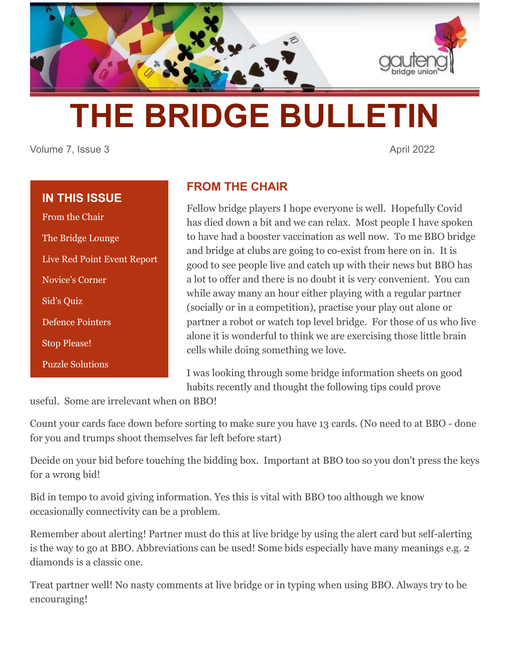

# **THE BRIDGE BULLETIN**

Volume 7, Issue 3 April 2022

## **IN THIS ISSUE**

From the Chair The Bridge Lounge Live Red Point Event Report Novice's Corner Sid's Quiz Defence Pointers Stop Please! Puzzle Solutions

## **FROM THE CHAIR**

Fellow bridge players I hope everyone is well. Hopefully Covid has died down a bit and we can relax. Most people I have spoken to have had a booster vaccination as well now. To me BBO bridge and bridge at clubs are going to co-exist from here on in. It is good to see people live and catch up with their news but BBO has a lot to offer and there is no doubt it is very convenient. You can while away many an hour either playing with a regular partner (socially or in a competition), practise your play out alone or partner a robot or watch top level bridge. For those of us who live alone it is wonderful to think we are exercising those little brain cells while doing something we love.

I was looking through some bridge information sheets on good habits recently and thought the following tips could prove

useful. Some are irrelevant when on BBO!

Count your cards face down before sorting to make sure you have 13 cards. (No need to at BBO - done for you and trumps shoot themselves far left before start)

Decide on your bid before touching the bidding box. Important at BBO too so you don't press the keys for a wrong bid!

Bid in tempo to avoid giving information. Yes this is vital with BBO too although we know occasionally connectivity can be a problem.

Remember about alerting! Partner must do this at live bridge by using the alert card but self-alerting is the way to go at BBO. Abbreviations can be used! Some bids especially have many meanings e.g. 2 diamonds is a classic one.

Treat partner well! No nasty comments at live bridge or in typing when using BBO. Always try to be encouraging!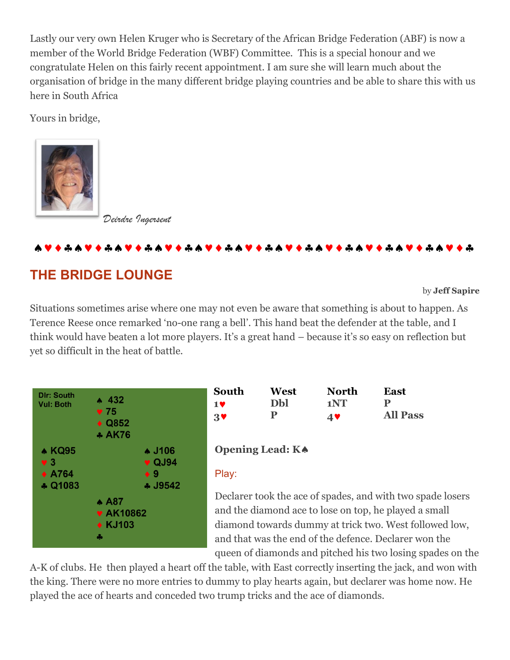Lastly our very own Helen Kruger who is Secretary of the African Bridge Federation (ABF) is now a member of the World Bridge Federation (WBF) Committee. This is a special honour and we congratulate Helen on this fairly recent appointment. I am sure she will learn much about the organisation of bridge in the many different bridge playing countries and be able to share this with us here in South Africa

Yours in bridge,



*Deirdre Ingersent*

### 

# **THE BRIDGE LOUNGE**

by **Jeff Sapire**

Situations sometimes arise where one may not even be aware that something is about to happen. As Terence Reese once remarked 'no-one rang a bell'. This hand beat the defender at the table, and I think would have beaten a lot more players. It's a great hand – because it's so easy on reflection but yet so difficult in the heat of battle.



| South      | West | <b>North</b> | East            |
|------------|------|--------------|-----------------|
| 19         | Dbl  | 1NT          |                 |
| $3^{\vee}$ | D    | 4V           | <b>All Pass</b> |

#### **Opening Lead: K**

#### Play:

Declarer took the ace of spades, and with two spade losers and the diamond ace to lose on top, he played a small diamond towards dummy at trick two. West followed low, and that was the end of the defence. Declarer won the queen of diamonds and pitched his two losing spades on the

A-K of clubs. He then played a heart off the table, with East correctly inserting the jack, and won with the king. There were no more entries to dummy to play hearts again, but declarer was home now. He played the ace of hearts and conceded two trump tricks and the ace of diamonds.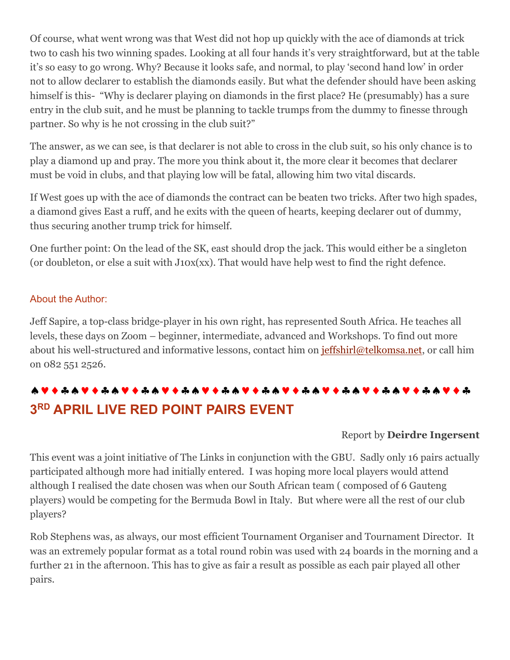Of course, what went wrong was that West did not hop up quickly with the ace of diamonds at trick two to cash his two winning spades. Looking at all four hands it's very straightforward, but at the table it's so easy to go wrong. Why? Because it looks safe, and normal, to play 'second hand low' in order not to allow declarer to establish the diamonds easily. But what the defender should have been asking himself is this- "Why is declarer playing on diamonds in the first place? He (presumably) has a sure entry in the club suit, and he must be planning to tackle trumps from the dummy to finesse through partner. So why is he not crossing in the club suit?"

The answer, as we can see, is that declarer is not able to cross in the club suit, so his only chance is to play a diamond up and pray. The more you think about it, the more clear it becomes that declarer must be void in clubs, and that playing low will be fatal, allowing him two vital discards.

If West goes up with the ace of diamonds the contract can be beaten two tricks. After two high spades, a diamond gives East a ruff, and he exits with the queen of hearts, keeping declarer out of dummy, thus securing another trump trick for himself.

One further point: On the lead of the SK, east should drop the jack. This would either be a singleton (or doubleton, or else a suit with J10x(xx). That would have help west to find the right defence.

#### About the Author:

Jeff Sapire, a top-class bridge-player in his own right, has represented South Africa. He teaches all levels, these days on Zoom – beginner, intermediate, advanced and Workshops. To find out more about his well-structured and informative lessons, contact him on [jeffshirl@telkomsa.net,](mailto:jeffshirl@telkomsa.net) or call him on 082 551 2526.

# **3 RD APRIL LIVE RED POINT PAIRS EVENT**

#### Report by **Deirdre Ingersent**

This event was a joint initiative of The Links in conjunction with the GBU. Sadly only 16 pairs actually participated although more had initially entered. I was hoping more local players would attend although I realised the date chosen was when our South African team ( composed of 6 Gauteng players) would be competing for the Bermuda Bowl in Italy. But where were all the rest of our club players?

Rob Stephens was, as always, our most efficient Tournament Organiser and Tournament Director. It was an extremely popular format as a total round robin was used with 24 boards in the morning and a further 21 in the afternoon. This has to give as fair a result as possible as each pair played all other pairs.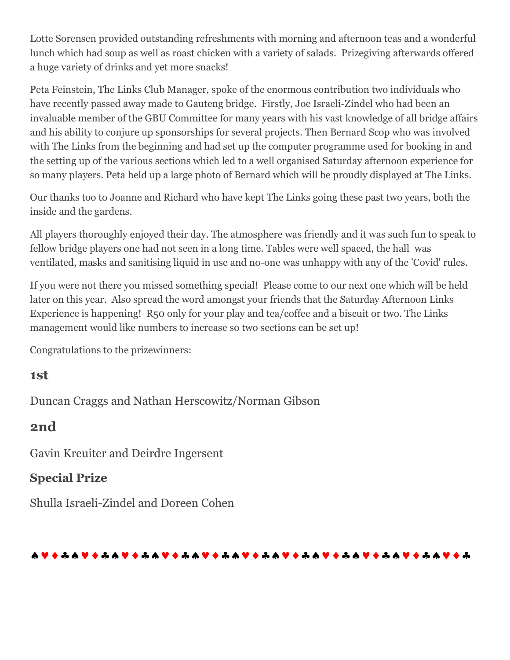Lotte Sorensen provided outstanding refreshments with morning and afternoon teas and a wonderful lunch which had soup as well as roast chicken with a variety of salads. Prizegiving afterwards offered a huge variety of drinks and yet more snacks!

Peta Feinstein, The Links Club Manager, spoke of the enormous contribution two individuals who have recently passed away made to Gauteng bridge. Firstly, Joe Israeli-Zindel who had been an invaluable member of the GBU Committee for many years with his vast knowledge of all bridge affairs and his ability to conjure up sponsorships for several projects. Then Bernard Scop who was involved with The Links from the beginning and had set up the computer programme used for booking in and the setting up of the various sections which led to a well organised Saturday afternoon experience for so many players. Peta held up a large photo of Bernard which will be proudly displayed at The Links.

Our thanks too to Joanne and Richard who have kept The Links going these past two years, both the inside and the gardens.

All players thoroughly enjoyed their day. The atmosphere was friendly and it was such fun to speak to fellow bridge players one had not seen in a long time. Tables were well spaced, the hall was ventilated, masks and sanitising liquid in use and no-one was unhappy with any of the 'Covid' rules.

If you were not there you missed something special! Please come to our next one which will be held later on this year. Also spread the word amongst your friends that the Saturday Afternoon Links Experience is happening! R50 only for your play and tea/coffee and a biscuit or two. The Links management would like numbers to increase so two sections can be set up!

Congratulations to the prizewinners:

## **1st**

Duncan Craggs and Nathan Herscowitz/Norman Gibson

## **2nd**

Gavin Kreuiter and Deirdre Ingersent

## **Special Prize**

Shulla Israeli-Zindel and Doreen Cohen

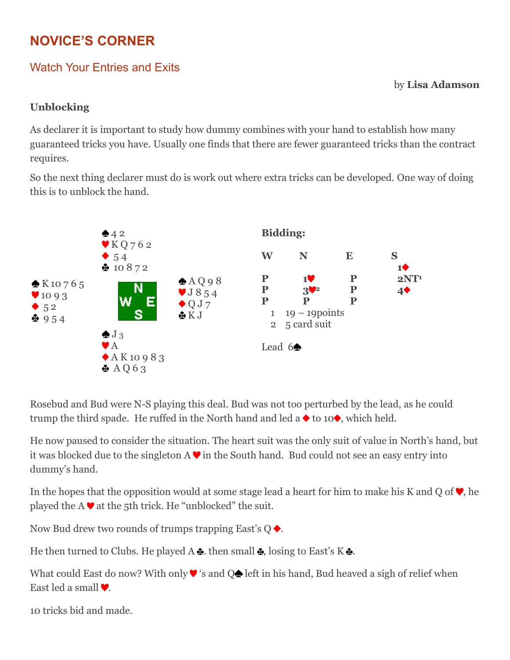# **NOVICE'S CORNER**

## Watch Your Entries and Exits

by **Lisa Adamson**

#### **Unblocking**

As declarer it is important to study how dummy combines with your hand to establish how many guaranteed tricks you have. Usually one finds that there are fewer guaranteed tricks than the contract requires.

So the next thing declarer must do is work out where extra tricks can be developed. One way of doing this is to unblock the hand.



Rosebud and Bud were N-S playing this deal. Bud was not too perturbed by the lead, as he could trump the third spade. He ruffed in the North hand and led a  $\blacklozenge$  to 10 $\blacklozenge$ , which held.

He now paused to consider the situation. The heart suit was the only suit of value in North's hand, but it was blocked due to the singleton  $A \blacktriangledown$  in the South hand. Bud could not see an easy entry into dummy's hand.

In the hopes that the opposition would at some stage lead a heart for him to make his K and Q of  $\blacktriangledown$ , he played the A  $\blacktriangledown$  at the 5th trick. He "unblocked" the suit.

Now Bud drew two rounds of trumps trapping East's  $Q \blacklozenge$ .

He then turned to Clubs. He played A  $\triangle$ , then small  $\triangle$ , losing to East's K  $\triangle$ .

What could East do now? With only  $\blacktriangledown$  's and  $\bigcirc$  left in his hand, Bud heaved a sigh of relief when East led a small  $\blacktriangledown$ .

10 tricks bid and made.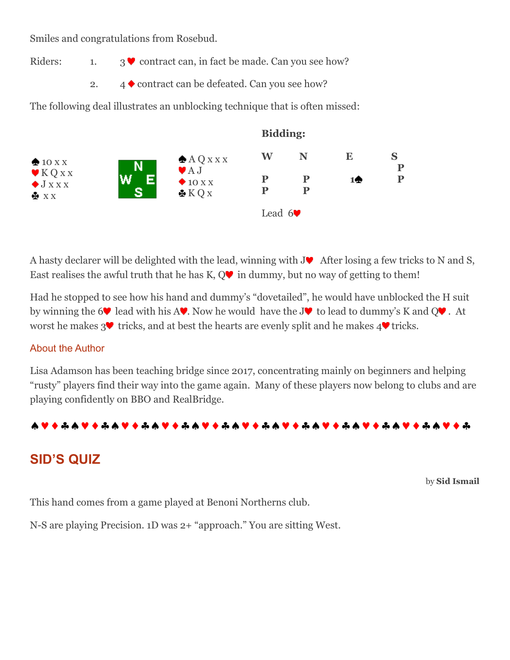Smiles and congratulations from Rosebud.

Riders: 1. 3  $\blacktriangleright$  contract can, in fact be made. Can you see how?

2.  $4 \blacklozenge$  contract can be defeated. Can you see how?

The following deal illustrates an unblocking technique that is often missed:



A hasty declarer will be delighted with the lead, winning with  $J\blacktriangledown$  After losing a few tricks to N and S, East realises the awful truth that he has  $K, Q\blacktriangledown$  in dummy, but no way of getting to them!

Had he stopped to see how his hand and dummy's "dovetailed", he would have unblocked the H suit by winning the 6 lead with his A. Now he would have the J. to lead to dummy's K and  $Q^{\bullet}$ . At worst he makes  $3\blacktriangledown$  tricks, and at best the hearts are evenly split and he makes  $4\blacktriangledown$  tricks.

#### About the Author

Lisa Adamson has been teaching bridge since 2017, concentrating mainly on beginners and helping "rusty" players find their way into the game again. Many of these players now belong to clubs and are playing confidently on BBO and RealBridge.



## **SID'S QUIZ**

by **Sid Ismail**

This hand comes from a game played at Benoni Northerns club.

N-S are playing Precision. 1D was 2+ "approach." You are sitting West.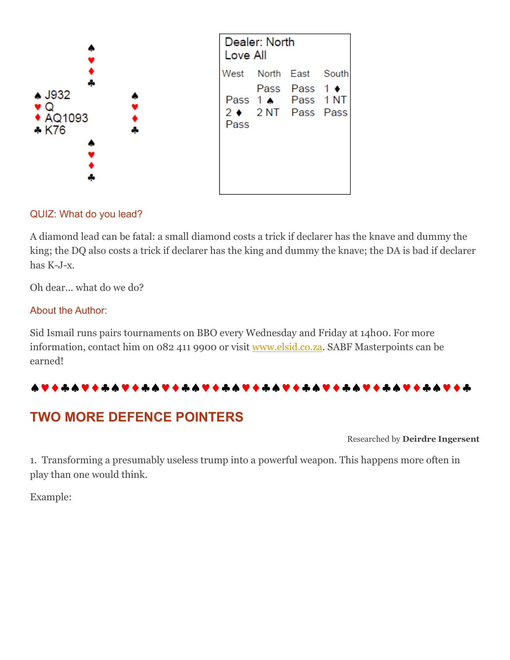

#### QUIZ: What do you lead?

A diamond lead can be fatal: a small diamond costs a trick if declarer has the knave and dummy the king; the DQ also costs a trick if declarer has the king and dummy the knave; the DA is bad if declarer has K-J-x.

Oh dear... what do we do?

#### About the Author:

Sid Ismail runs pairs tournaments on BBO every Wednesday and Friday at 14h00. For more information, contact him on 082 411 9900 or visit [www.elsid.co.za.](http://www.elsid.co.za/) SABF Masterpoints can be earned!

## 

## **TWO MORE DEFENCE POINTERS**

Researched by **Deirdre Ingersent**

1. Transforming a presumably useless trump into a powerful weapon. This happens more often in play than one would think.

Example: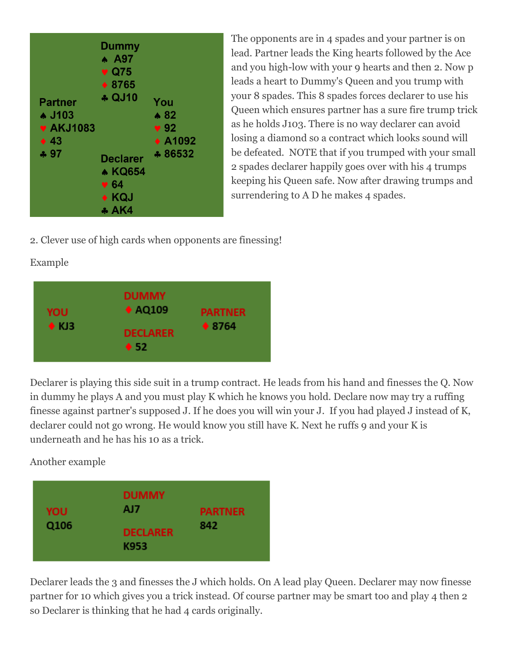

The opponents are in 4 spades and your partner is on lead. Partner leads the King hearts followed by the Ace and you high-low with your 9 hearts and then 2. Now p leads a heart to Dummy's Queen and you trump with your 8 spades. This 8 spades forces declarer to use his Queen which ensures partner has a sure fire trump trick as he holds J103. There is no way declarer can avoid losing a diamond so a contract which looks sound will be defeated. NOTE that if you trumped with your small 2 spades declarer happily goes over with his 4 trumps keeping his Queen safe. Now after drawing trumps and surrendering to A D he makes 4 spades.

2. Clever use of high cards when opponents are finessing!

#### Example



Declarer is playing this side suit in a trump contract. He leads from his hand and finesses the Q. Now in dummy he plays A and you must play K which he knows you hold. Declare now may try a ruffing finesse against partner's supposed J. If he does you will win your J. If you had played J instead of K, declarer could not go wrong. He would know you still have K. Next he ruffs 9 and your K is underneath and he has his 10 as a trick.

Another example



Declarer leads the 3 and finesses the J which holds. On A lead play Queen. Declarer may now finesse partner for 10 which gives you a trick instead. Of course partner may be smart too and play 4 then 2 so Declarer is thinking that he had 4 cards originally.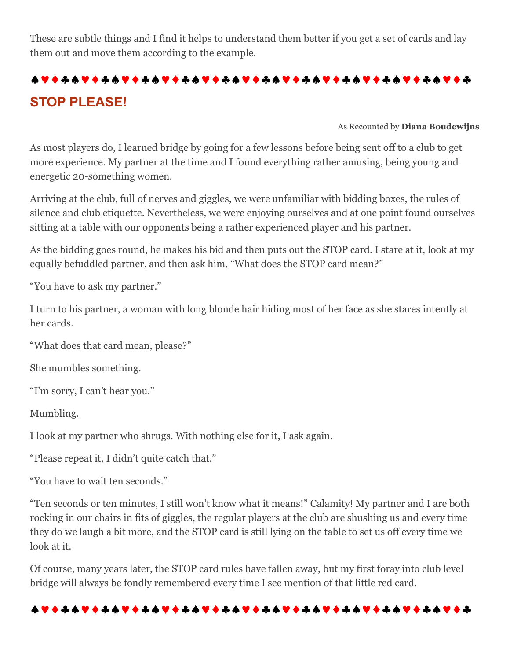These are subtle things and I find it helps to understand them better if you get a set of cards and lay them out and move them according to the example.

# **STOP PLEASE!**

As Recounted by **Diana Boudewijns**

As most players do, I learned bridge by going for a few lessons before being sent off to a club to get more experience. My partner at the time and I found everything rather amusing, being young and energetic 20-something women.

Arriving at the club, full of nerves and giggles, we were unfamiliar with bidding boxes, the rules of silence and club etiquette. Nevertheless, we were enjoying ourselves and at one point found ourselves sitting at a table with our opponents being a rather experienced player and his partner.

As the bidding goes round, he makes his bid and then puts out the STOP card. I stare at it, look at my equally befuddled partner, and then ask him, "What does the STOP card mean?"

"You have to ask my partner."

I turn to his partner, a woman with long blonde hair hiding most of her face as she stares intently at her cards.

"What does that card mean, please?"

She mumbles something.

"I'm sorry, I can't hear you."

Mumbling.

I look at my partner who shrugs. With nothing else for it, I ask again.

"Please repeat it, I didn't quite catch that."

"You have to wait ten seconds."

"Ten seconds or ten minutes, I still won't know what it means!" Calamity! My partner and I are both rocking in our chairs in fits of giggles, the regular players at the club are shushing us and every time they do we laugh a bit more, and the STOP card is still lying on the table to set us off every time we look at it.

Of course, many years later, the STOP card rules have fallen away, but my first foray into club level bridge will always be fondly remembered every time I see mention of that little red card.